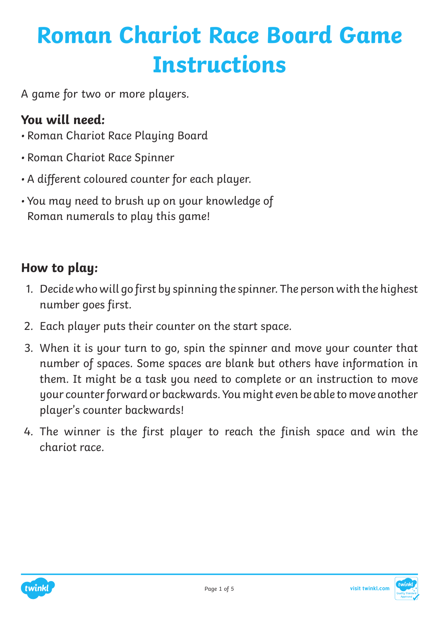## **Roman Chariot Race Board Game Instructions**

A game for two or more players.

#### **You will need:**

- Roman Chariot Race Playing Board
- Roman Chariot Race Spinner
- A different coloured counter for each player.
- You may need to brush up on your knowledge of Roman numerals to play this game!

### **How to play:**

- 1. Decide who will go first by spinning the spinner. The person with the highest number goes first.
- 2. Each player puts their counter on the start space.
- 3. When it is your turn to go, spin the spinner and move your counter that number of spaces. Some spaces are blank but others have information in them. It might be a task you need to complete or an instruction to move your counter forward or backwards. You might even be able to move another player's counter backwards!
- 4. The winner is the first player to reach the finish space and win the chariot race.



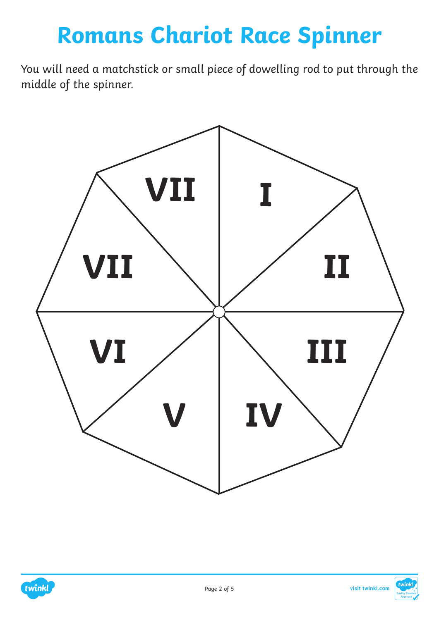### **Romans Chariot Race Spinner**

You will need a matchstick or small piece of dowelling rod to put through the middle of the spinner.



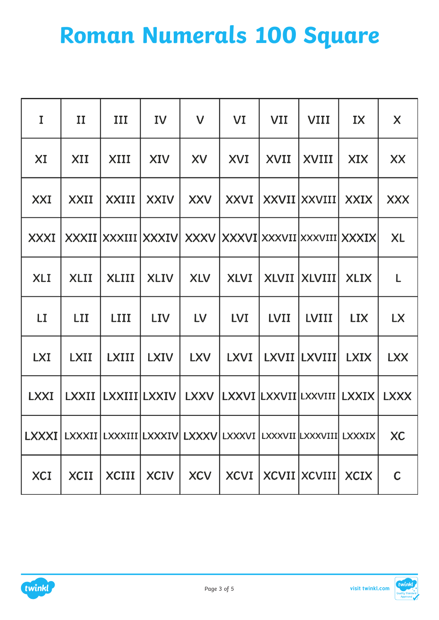# **Roman Numerals 100 Square**

| I           | П           | III                                                                              | IV                       | $\mathsf{V}$ | VI         | <b>VII</b>  | <b>VIII</b>            | IX          | X           |
|-------------|-------------|----------------------------------------------------------------------------------|--------------------------|--------------|------------|-------------|------------------------|-------------|-------------|
| XI          | XII         | XIII                                                                             | XIV                      | XV           | XVI        | XVII        | XVIII                  | XIX         | XX          |
| XXI         | XXII        | XXIII                                                                            | <b>XXIV</b>              | <b>XXV</b>   |            |             | XXVI   XXVII   XXVIII  | <b>XXIX</b> | <b>XXX</b>  |
| <b>XXXI</b> |             | XXXII XXXIII XXXIV XXXV XXXVII XXXVII XXXVIII XXXIX                              |                          |              |            |             |                        |             | <b>XL</b>   |
| <b>XLI</b>  | <b>XLII</b> | <b>XLIII</b>                                                                     | <b>XLIV</b>              | <b>XLV</b>   | XLVI       |             | XLVII   XLVIII         | <b>XLIX</b> | L           |
| LI          | LII         | LIII                                                                             | <b>LIV</b>               | <b>LV</b>    | <b>LVI</b> | <b>LVII</b> | <b>LVIII</b>           | <b>LIX</b>  | <b>LX</b>   |
| <b>LXI</b>  | <b>LXII</b> | <b>LXIII</b>                                                                     | <b>LXIV</b>              | <b>LXV</b>   |            |             | LXVI   LXVII   LXVIII  | <b>LXIX</b> | <b>LXX</b>  |
| <b>LXXI</b> |             | LXXII LXXIII LXXIV LXXV LXXVI LXXVII LXXVIII LXXIX                               |                          |              |            |             |                        |             | <b>LXXX</b> |
|             |             | LXXXI   LXXXII   LXXXIII   LXXXIV   LXXXV   LXXXVI   LXXXVII   LXXXVIII   LXXXIX |                          |              |            |             |                        |             | <b>XC</b>   |
| XCI         | XCII        |                                                                                  | $XCIII$   $XCIV$   $XCV$ |              |            |             | XCVI XCVII XCVIII XCIX |             | $\mathsf C$ |



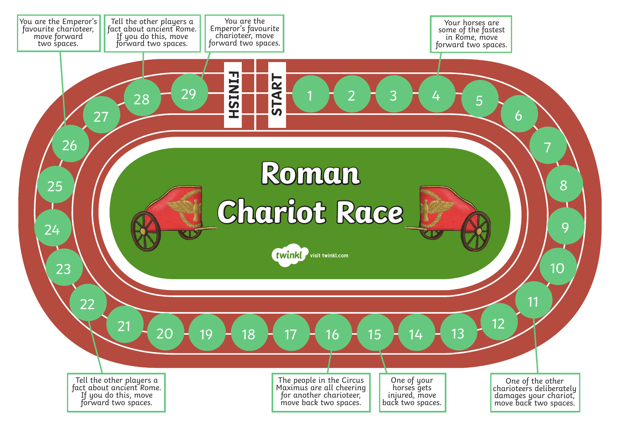